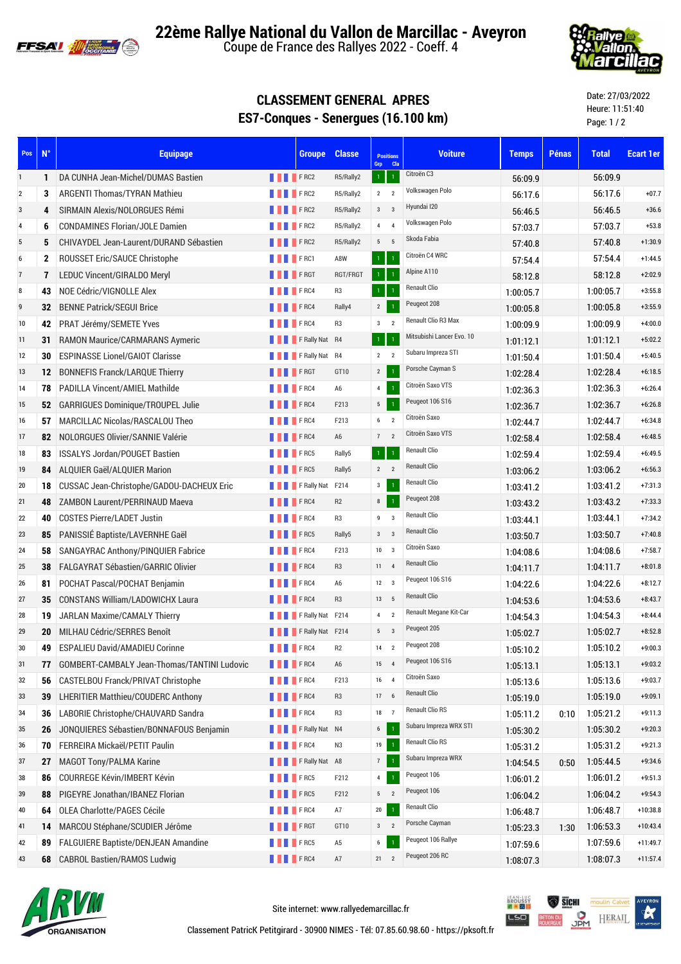

**22ème Rallye National du Vallon de Marcillac - Aveyron**

Coupe de France des Rallyes 2022 - Coeff. 4



## **CLASSEMENT GENERAL APRES ES7-Conques - Senergues (16.100 km)**

Date: 27/03/2022 Heure: 11:51:40 Page: 1 / 2

| Pos            | $N^{\circ}$    | <b>Equipage</b>                             |                 | <b>Groupe</b>                | <b>Classe</b>  | <b>Positions</b><br>Grp Cla       | <b>Voiture</b>            | <b>Temps</b> | <b>Pénas</b> | <b>Total</b> | <b>Ecart 1er</b> |
|----------------|----------------|---------------------------------------------|-----------------|------------------------------|----------------|-----------------------------------|---------------------------|--------------|--------------|--------------|------------------|
| $\mathbf{1}$   | 1              | DA CUNHA Jean-Michel/DUMAS Bastien          | <b>THEFRC2</b>  |                              | R5/Rally2      | $\mathbf{1}$<br>$\overline{1}$    | Citroën C3                | 56:09.9      |              | 56:09.9      |                  |
| $\overline{2}$ | 3              | <b>ARGENTI Thomas/TYRAN Mathieu</b>         | <b>FRC2</b>     |                              | R5/Rally2      | $2 \quad 2$                       | Volkswagen Polo           | 56:17.6      |              | 56:17.6      | $+07.7$          |
| 3              | 4              | SIRMAIN Alexis/NOLORGUES Rémi               | <b>FRC2</b>     |                              | R5/Rally2      | $3 \qquad 3$                      | Hyundai I20               | 56:46.5      |              | 56:46.5      | $+36.6$          |
| $\overline{4}$ | 6              | <b>CONDAMINES Florian/JOLE Damien</b>       |                 | <b>FRC2</b>                  | R5/Rally2      | $\overline{4}$<br>$\overline{4}$  | Volkswagen Polo           | 57:03.7      |              | 57:03.7      | $+53.8$          |
| $\sqrt{5}$     | 5              | CHIVAYDEL Jean-Laurent/DURAND Sébastien     | <b>FRC2</b>     |                              | R5/Rally2      | $5\qquad 5$                       | Skoda Fabia               | 57:40.8      |              | 57:40.8      | $+1:30.9$        |
| 6              | 2              | ROUSSET Eric/SAUCE Christophe               | <b>THEFRC1</b>  |                              | A8W            | $\mathbf{1}$<br>$\overline{1}$    | Citroën C4 WRC            | 57:54.4      |              | 57:54.4      | $+1:44.5$        |
| $\overline{7}$ | $\overline{7}$ | <b>LEDUC Vincent/GIRALDO Meryl</b>          |                 | <b>FRGT</b>                  | RGT/FRGT       | $\mathbf{1}$<br>$\overline{1}$    | Alpine A110               | 58.12.8      |              | 58:12.8      | $+2:02.9$        |
| $\bf 8$        | 43             | NOE Cédric/VIGNOLLE Alex                    |                 | <b>FRC4</b>                  | R3             | $\mathbf{1}$<br>$\overline{1}$    | <b>Renault Clio</b>       | 1:00:05.7    |              | 1:00:05.7    | $+3:55.8$        |
| 9              | 32             | <b>BENNE Patrick/SEGUI Brice</b>            | <b>FRC4</b>     |                              | Rally4         | $2^{\circ}$<br>$\overline{1}$     | Peugeot 208               | 1:00:05.8    |              | 1:00:05.8    | $+3:55.9$        |
| 10             | 42             | PRAT Jérémy/SEMETE Yves                     | <b>THEFRC4</b>  |                              | R3             | $\mathbf{3}$<br>$\overline{2}$    | Renault Clio R3 Max       | 1:00:09.9    |              | 1:00:09.9    | $+4:00.0$        |
| 11             | 31             | <b>RAMON Maurice/CARMARANS Aymeric</b>      |                 | <b>FRally Nat R4</b>         |                | $\overline{1}$<br>$\overline{1}$  | Mitsubishi Lancer Evo. 10 | 1:01:12.1    |              | 1:01:12.1    | $+5:02.2$        |
| 12             | 30             | <b>ESPINASSE Lionel/GAIOT Clarisse</b>      |                 | F Rally Nat R4               |                | $2 \quad 2$                       | Subaru Impreza STI        | 1:01:50.4    |              | 1:01:50.4    | $+5:40.5$        |
| 13             | 12             | <b>BONNEFIS Franck/LARQUE Thierry</b>       | <b>THE FRGT</b> |                              | GT10           | $2^{\circ}$<br>$\overline{1}$     | Porsche Cayman S          | 1:02:28.4    |              | 1:02:28.4    | $+6:18.5$        |
| 14             | 78             | <b>PADILLA Vincent/AMIEL Mathilde</b>       | <b>FRC4</b>     |                              | A6             | $\overline{4}$<br>$\mathbf{1}$    | Citroën Saxo VTS          | 1:02:36.3    |              | 1:02:36.3    | $+6:26.4$        |
| 15             | 52             | <b>GARRIGUES Dominique/TROUPEL Julie</b>    | <b>FRC4</b>     |                              | F213           | 5 <sub>5</sub><br>$\mathbf{1}$    | Peugeot 106 S16           | 1:02:36.7    |              | 1:02:36.7    | $+6:26.8$        |
| 16             | 57             | MARCILLAC Nicolas/RASCALOU Theo             | <b>THEFRC4</b>  |                              | F213           | 6<br>$\overline{2}$               | Citroën Saxo              | 1:02:44.7    |              | 1:02:44.7    | $+6:34.8$        |
| 17             | 82             | NOLORGUES Olivier/SANNIE Valérie            | <b>FRC4</b>     |                              | A6             | 7<br>$\overline{2}$               | Citroën Saxo VTS          | 1:02:58.4    |              | 1:02:58.4    | $+6:48.5$        |
| 18             | 83             | <b>ISSALYS Jordan/POUGET Bastien</b>        |                 | <b>FRC5</b>                  | Rally5         | $\mathbf 1$<br>$\mathbf{1}$       | <b>Renault Clio</b>       | 1:02:59.4    |              | 1:02:59.4    | $+6:49.5$        |
| 19             | 84             | ALQUIER Gaël/ALQUIER Marion                 | <b>FRC5</b>     |                              | Rally5         | $2 \t2$                           | <b>Renault Clio</b>       | 1:03:06.2    |              | 1:03:06.2    | $+6:56.3$        |
| 20             | 18             | CUSSAC Jean-Christophe/GADOU-DACHEUX Eric   |                 | <b>THEFRAILT</b> F Rally Nat | F214           | $\mathbf{3}$<br>$\overline{1}$    | <b>Renault Clio</b>       | 1:03:41.2    |              | 1:03:41.2    | $+7:31.3$        |
| 21             | 48             | <b>ZAMBON Laurent/PERRINAUD Maeva</b>       | <b>FRC4</b>     |                              | R <sub>2</sub> | 8<br>$\mathbf{1}$                 | Peugeot 208               | 1:03:43.2    |              | 1:03:43.2    | $+7:33.3$        |
| 22             | 40             | <b>COSTES Pierre/LADET Justin</b>           |                 | <b>FRC4</b>                  | R <sub>3</sub> | $9 \qquad 3$                      | <b>Renault Clio</b>       | 1:03:44.1    |              | 1:03:44.1    | $+7:34.2$        |
| 23             | 85             | PANISSIÉ Baptiste/LAVERNHE Gaël             |                 | F <sub>RC5</sub>             | Rally5         | $3 \qquad 3$                      | <b>Renault Clio</b>       | 1:03:50.7    |              | 1:03:50.7    | $+7:40.8$        |
| 24             | 58             | SANGAYRAC Anthony/PINQUIER Fabrice          | <b>FRC4</b>     |                              | F213           | $10 \qquad 3$                     | Citroën Saxo              | 1:04:08.6    |              | 1:04:08.6    | $+7:58.7$        |
| 25             | 38             | <b>FALGAYRAT Sébastien/GARRIC Olivier</b>   | <b>FRC4</b>     |                              | R <sub>3</sub> | $11 \t 4$                         | <b>Renault Clio</b>       | 1:04:11.7    |              | 1.04.11.7    | $+8:01.8$        |
| 26             | 81             | POCHAT Pascal/POCHAT Benjamin               |                 | <b>FRC4</b>                  | A <sub>6</sub> | $12 \quad 3$                      | Peugeot 106 S16           | 1:04:22.6    |              | 1:04:22.6    | $+8:12.7$        |
| 27             | 35             | <b>CONSTANS William/LADOWICHX Laura</b>     | <b>FRC4</b>     |                              | R <sub>3</sub> | $13 \qquad 5$                     | <b>Renault Clio</b>       | 1:04:53.6    |              | 1:04:53.6    | $+8:43.7$        |
| 28             | 19             | JARLAN Maxime/CAMALY Thierry                |                 | F Rally Nat F214             |                | $\overline{2}$<br>$\overline{4}$  | Renault Megane Kit-Car    | 1:04:54.3    |              | 1:04:54.3    | $+8:44.4$        |
| 29             | 20             | MILHAU Cédric/SERRES Benoît                 |                 | F Rally Nat F214             |                | $5 \qquad 3$                      | Peugeot 205               | 1:05:02.7    |              | 1:05:02.7    | $+8:52.8$        |
| 30             | 49             | <b>ESPALIEU David/AMADIEU Corinne</b>       | <b>THEFRC4</b>  |                              | R <sub>2</sub> | 14 2                              | Peugeot 208               | 1:05:10.2    |              | 1:05:10.2    | $+9:00.3$        |
| 31             | 77             | GOMBERT-CAMBALY Jean-Thomas/TANTINI Ludovic | <b>THEFRC4</b>  |                              | A6             | 15<br>$\overline{4}$              | Peugeot 106 S16           | 1:05:13.1    |              | 1:05:13.1    | $+9:03.2$        |
| 32             | 56             | CASTELBOU Franck/PRIVAT Christophe          |                 | <b>FRC4</b>                  | F213           | 16 4                              | Citroën Saxo              | 1:05:13.6    |              | 1:05:13.6    | $+9:03.7$        |
| 33             | 39             | <b>LHERITIER Matthieu/COUDERC Anthony</b>   | <b>THEFRC4</b>  |                              | R3             | 17 <sub>6</sub>                   | <b>Renault Clio</b>       | 1:05:19.0    |              | 1:05:19.0    | $+9:09.1$        |
| 34             | 36             | LABORIE Christophe/CHAUVARD Sandra          | <b>FRC4</b>     |                              | R3             | 18 7                              | <b>Renault Clio RS</b>    | 1:05:11.2    | 0:10         | 1:05:21.2    | $+9:11.3$        |
| 35             | 26             | JONQUIERES Sébastien/BONNAFOUS Benjamin     |                 | <b>FRally Nat N4</b>         |                | $6\overline{6}$<br>$\overline{1}$ | Subaru Impreza WRX STI    | 1:05:30.2    |              | 1:05:30.2    | $+9:20.3$        |
| 36             | 70             | FERREIRA Mickaël/PETIT Paulin               |                 | $F$ F RC4                    | N3             | 19                                | <b>Renault Clio RS</b>    | 1:05:31.2    |              | 1:05:31.2    | $+9:21.3$        |
| 37             | 27             | <b>MAGOT Tony/PALMA Karine</b>              |                 | F Rally Nat A8               |                | 7<br>$\mathbf{1}$                 | Subaru Impreza WRX        | 1:04:54.5    | 0:50         | 1:05:44.5    | $+9:34.6$        |
| 38             | 86             | <b>COURREGE Kévin/IMBERT Kévin</b>          |                 | <b>FRC5</b>                  | F212           | 4                                 | Peugeot 106               | 1:06:01.2    |              | 1:06:01.2    | $+9:51.3$        |
| 39             | 88             | PIGEYRE Jonathan/IBANEZ Florian             |                 | <b>FRC5</b>                  | F212           | 5 <sub>2</sub>                    | Peugeot 106               | 1:06:04.2    |              | 1:06:04.2    | $+9:54.3$        |
| 40             | 64             | OLEA Charlotte/PAGES Cécile                 |                 | <b>FRC4</b>                  | A7             | $20\,$<br>$\mathbf{1}$            | <b>Renault Clio</b>       | 1:06:48.7    |              | 1:06:48.7    | $+10:38.8$       |
| 41             | 14             | MARCOU Stéphane/SCUDIER Jérôme              |                 | <b>FRGT</b>                  | GT10           | $3 \qquad 2$                      | Porsche Cayman            | 1:05:23.3    | 1:30         | 1:06:53.3    | $+10:43.4$       |
| 42             | 89             | <b>FALGUIERE Baptiste/DENJEAN Amandine</b>  |                 | <b>FRC5</b>                  | A5             | $\overline{1}$<br>6               | Peugeot 106 Rallye        | 1:07:59.6    |              | 1:07:59.6    | $+11:49.7$       |
| 43             | 68             | <b>CABROL Bastien/RAMOS Ludwig</b>          | <b>THEFRC4</b>  |                              | A7             | $21 \t 2$                         | Peugeot 206 RC            | 1:08:07.3    |              | 1:08:07.3    | $+11:57.4$       |



Site internet: www.rallyedemarcillac.fr